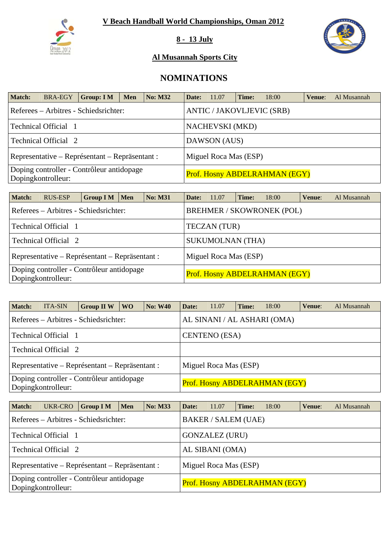

**8 - 13 July** 



### **Al Musannah Sports City**

# **NOMINATIONS**

| <b>Match:</b> | <b>BRA-EGY</b>       | Group: I M                                     | <b>Men</b> | <b>No: M32</b> | Date:                 | 11.07           | Time: | 18:00                                | Venue: | Al Musannah |  |
|---------------|----------------------|------------------------------------------------|------------|----------------|-----------------------|-----------------|-------|--------------------------------------|--------|-------------|--|
|               |                      | Referees – Arbitres - Schiedsrichter:          |            |                |                       |                 |       | <b>ANTIC / JAKOVLJEVIC (SRB)</b>     |        |             |  |
|               | Technical Official 1 |                                                |            |                |                       | NACHEVSKI (MKD) |       |                                      |        |             |  |
|               | Technical Official 2 |                                                |            |                | DAWSON (AUS)          |                 |       |                                      |        |             |  |
|               |                      | Representative – Représentant – Repräsentant : |            |                | Miguel Roca Mas (ESP) |                 |       |                                      |        |             |  |
|               | Dopingkontrolleur:   | Doping controller - Contrôleur antidopage      |            |                |                       |                 |       | <b>Prof. Hosny ABDELRAHMAN (EGY)</b> |        |             |  |

| <b>Match:</b>                                                   | RUS-ESP                                        | Group $IM$ Men |  | <b>No: M31</b> | Date:                         | 11.07                 | Time: | 18:00                            | Venue: | Al Musannah |  |  |
|-----------------------------------------------------------------|------------------------------------------------|----------------|--|----------------|-------------------------------|-----------------------|-------|----------------------------------|--------|-------------|--|--|
|                                                                 | Referees – Arbitres - Schiedsrichter:          |                |  |                |                               |                       |       | <b>BREHMER / SKOWRONEK (POL)</b> |        |             |  |  |
|                                                                 | Technical Official 1                           |                |  |                | <b>TECZAN</b> (TUR)           |                       |       |                                  |        |             |  |  |
|                                                                 | Technical Official 2                           |                |  |                | <b>SUKUMOLNAN (THA)</b>       |                       |       |                                  |        |             |  |  |
|                                                                 | Representative – Représentant – Repräsentant : |                |  |                |                               | Miguel Roca Mas (ESP) |       |                                  |        |             |  |  |
| Doping controller - Contrôleur antidopage<br>Dopingkontrolleur: |                                                |                |  |                | Prof. Hosny ABDELRAHMAN (EGY) |                       |       |                                  |        |             |  |  |

| <b>Match:</b> | <b>ITA-SIN</b>              | <b>Group II W</b>                              | <b>WO</b> | <b>No: W40</b> | Date:                         | 11.07                 | Time: | 18:00                       | Venue: | Al Musannah |
|---------------|-----------------------------|------------------------------------------------|-----------|----------------|-------------------------------|-----------------------|-------|-----------------------------|--------|-------------|
|               |                             | Referees – Arbitres - Schiedsrichter:          |           |                |                               |                       |       | AL SINANI / AL ASHARI (OMA) |        |             |
|               | Technical Official 1        |                                                |           |                |                               | <b>CENTENO</b> (ESA)  |       |                             |        |             |
|               | <b>Technical Official 2</b> |                                                |           |                |                               |                       |       |                             |        |             |
|               |                             | Representative – Représentant – Repräsentant : |           |                |                               | Miguel Roca Mas (ESP) |       |                             |        |             |
|               | Dopingkontrolleur:          | Doping controller - Contrôleur antidopage      |           |                | Prof. Hosny ABDELRAHMAN (EGY) |                       |       |                             |        |             |

| <b>Match:</b> | UKR-CRO                     | <b>Group I M</b>                               | Men | <b>No: M33</b>             | Date:                         | 11.07                 | Time: | 18:00 | Venue: | Al Musannah |  |  |
|---------------|-----------------------------|------------------------------------------------|-----|----------------------------|-------------------------------|-----------------------|-------|-------|--------|-------------|--|--|
|               |                             | Referees – Arbitres - Schiedsrichter:          |     | <b>BAKER / SALEM (UAE)</b> |                               |                       |       |       |        |             |  |  |
|               | <b>Technical Official 1</b> |                                                |     |                            |                               | <b>GONZALEZ (URU)</b> |       |       |        |             |  |  |
|               | Technical Official 2        |                                                |     |                            | AL SIBANI (OMA)               |                       |       |       |        |             |  |  |
|               |                             | Representative – Représentant – Repräsentant : |     |                            |                               | Miguel Roca Mas (ESP) |       |       |        |             |  |  |
|               | Dopingkontrolleur:          | Doping controller - Contrôleur antidopage      |     |                            | Prof. Hosny ABDELRAHMAN (EGY) |                       |       |       |        |             |  |  |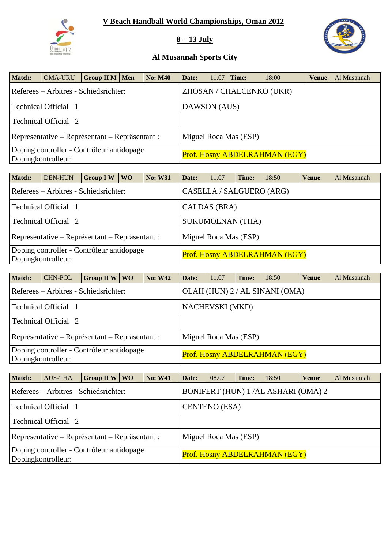

### **8 - 13 July**



| <b>Match:</b> | <b>OMA-URU</b>                                                  | Group II M   Men | <b>No: M40</b> | Date:        | 11.07 | Time:                 | 18:00                         | <b>Venue:</b> Al Musannah |
|---------------|-----------------------------------------------------------------|------------------|----------------|--------------|-------|-----------------------|-------------------------------|---------------------------|
|               | Referees – Arbitres - Schiedsrichter:                           |                  |                |              |       |                       | ZHOSAN / CHALCENKO (UKR)      |                           |
|               | Technical Official 1                                            |                  |                | DAWSON (AUS) |       |                       |                               |                           |
|               | <b>Technical Official 2</b>                                     |                  |                |              |       |                       |                               |                           |
|               | Representative – Représentant – Repräsentant :                  |                  |                |              |       | Miguel Roca Mas (ESP) |                               |                           |
|               | Doping controller - Contrôleur antidopage<br>Dopingkontrolleur: |                  |                |              |       |                       | Prof. Hosny ABDELRAHMAN (EGY) |                           |

| Match: | DEN-HUN                                                         | <b>Group IW</b> | <b>WO</b> | <b>No: W31</b> | Date: | 11.07                    | Time: | 18:50                                | Venue: | Al Musannah |
|--------|-----------------------------------------------------------------|-----------------|-----------|----------------|-------|--------------------------|-------|--------------------------------------|--------|-------------|
|        | Referees – Arbitres - Schiedsrichter:                           |                 |           |                |       | CASELLA / SALGUERO (ARG) |       |                                      |        |             |
|        | <b>Technical Official</b> 1                                     |                 |           |                |       | CALDAS (BRA)             |       |                                      |        |             |
|        | Technical Official 2                                            |                 |           |                |       | <b>SUKUMOLNAN (THA)</b>  |       |                                      |        |             |
|        | Representative – Représentant – Repräsentant :                  |                 |           |                |       | Miguel Roca Mas (ESP)    |       |                                      |        |             |
|        | Doping controller - Contrôleur antidopage<br>Dopingkontrolleur: |                 |           |                |       |                          |       | <b>Prof. Hosny ABDELRAHMAN (EGY)</b> |        |             |

| <b>Match:</b> | <b>CHN-POL</b>                                                  | Group II W $\vert$ WO |  | <b>No: W42</b> | Date: | 11.07                         | Time: | 18:50                          | Venue: | Al Musannah |  |
|---------------|-----------------------------------------------------------------|-----------------------|--|----------------|-------|-------------------------------|-------|--------------------------------|--------|-------------|--|
|               | Referees – Arbitres - Schiedsrichter:                           |                       |  |                |       |                               |       | OLAH (HUN) 2 / AL SINANI (OMA) |        |             |  |
|               | Technical Official 1                                            |                       |  |                |       | <b>NACHEVSKI</b> (MKD)        |       |                                |        |             |  |
|               | <b>Technical Official 2</b>                                     |                       |  |                |       |                               |       |                                |        |             |  |
|               | Representative – Représentant – Repräsentant :                  |                       |  |                |       | Miguel Roca Mas (ESP)         |       |                                |        |             |  |
|               | Doping controller - Contrôleur antidopage<br>Dopingkontrolleur: |                       |  |                |       | Prof. Hosny ABDELRAHMAN (EGY) |       |                                |        |             |  |

| <b>Match:</b> | <b>AUS-THA</b>                                                  | Group II W $\vert$ WO |  | <b>No: W41</b> | Date: | 08.07                         | Time: | 18:50                              | Venue: | Al Musannah |  |
|---------------|-----------------------------------------------------------------|-----------------------|--|----------------|-------|-------------------------------|-------|------------------------------------|--------|-------------|--|
|               | Referees – Arbitres - Schiedsrichter:                           |                       |  |                |       |                               |       | BONIFERT (HUN) 1/AL ASHARI (OMA) 2 |        |             |  |
|               | Technical Official 1                                            |                       |  |                |       | <b>CENTENO</b> (ESA)          |       |                                    |        |             |  |
|               | Technical Official 2                                            |                       |  |                |       |                               |       |                                    |        |             |  |
|               | Representative – Représentant – Repräsentant :                  |                       |  |                |       | Miguel Roca Mas (ESP)         |       |                                    |        |             |  |
|               | Doping controller - Contrôleur antidopage<br>Dopingkontrolleur: |                       |  |                |       | Prof. Hosny ABDELRAHMAN (EGY) |       |                                    |        |             |  |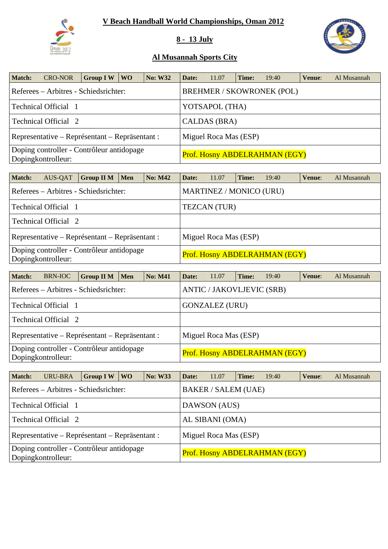

### **8 - 13 July**



| Match: | <b>CRO-NOR</b>                                                  | <b>Group IW</b> | WO \ | <b>No: W32</b> | Date: | 11.07                 | Time: | 19:40                            | Venue: | Al Musannah |
|--------|-----------------------------------------------------------------|-----------------|------|----------------|-------|-----------------------|-------|----------------------------------|--------|-------------|
|        | Referees – Arbitres - Schiedsrichter:                           |                 |      |                |       |                       |       | <b>BREHMER / SKOWRONEK (POL)</b> |        |             |
|        | Technical Official 1                                            |                 |      |                |       | YOTSAPOL (THA)        |       |                                  |        |             |
|        | Technical Official 2                                            |                 |      |                |       | CALDAS (BRA)          |       |                                  |        |             |
|        | Representative – Représentant – Repräsentant :                  |                 |      |                |       | Miguel Roca Mas (ESP) |       |                                  |        |             |
|        | Doping controller - Contrôleur antidopage<br>Dopingkontrolleur: |                 |      |                |       |                       |       | Prof. Hosny ABDELRAHMAN (EGY)    |        |             |

| <b>Match:</b> | AUS-QAT              | <b>Group II M</b>                              | <b>Men</b> | <b>No: M42</b> | Date:                         | 11.07                   | Time: | 19:40 | Venue: | Al Musannah |  |  |
|---------------|----------------------|------------------------------------------------|------------|----------------|-------------------------------|-------------------------|-------|-------|--------|-------------|--|--|
|               |                      | Referees – Arbitres - Schiedsrichter:          |            |                |                               | MARTINEZ / MONICO (URU) |       |       |        |             |  |  |
|               | Technical Official 1 |                                                |            |                | <b>TEZCAN</b> (TUR)           |                         |       |       |        |             |  |  |
|               | Technical Official 2 |                                                |            |                |                               |                         |       |       |        |             |  |  |
|               |                      | Representative – Représentant – Repräsentant : |            |                |                               | Miguel Roca Mas (ESP)   |       |       |        |             |  |  |
|               | Dopingkontrolleur:   | Doping controller - Contrôleur antidopage      |            |                | Prof. Hosny ABDELRAHMAN (EGY) |                         |       |       |        |             |  |  |

| <b>Match:</b> | BRN-IOC              | <b>Group II M</b>                              | Men | <b>No: M41</b> | Date: | 11.07                            | Time: | 19:40                                | Venue: | Al Musannah |
|---------------|----------------------|------------------------------------------------|-----|----------------|-------|----------------------------------|-------|--------------------------------------|--------|-------------|
|               |                      | Referees – Arbitres - Schiedsrichter:          |     |                |       | <b>ANTIC / JAKOVLJEVIC (SRB)</b> |       |                                      |        |             |
|               | Technical Official 1 |                                                |     |                |       | <b>GONZALEZ (URU)</b>            |       |                                      |        |             |
|               | Technical Official 2 |                                                |     |                |       |                                  |       |                                      |        |             |
|               |                      | Representative – Représentant – Repräsentant : |     |                |       | Miguel Roca Mas (ESP)            |       |                                      |        |             |
|               | Dopingkontrolleur:   | Doping controller - Contrôleur antidopage      |     |                |       |                                  |       | <b>Prof. Hosny ABDELRAHMAN (EGY)</b> |        |             |

| <b>Match:</b> | <b>URU-BRA</b>                                                  | <b>Group IW</b> | WO \ | <b>No: W33</b> | Date:           | 11.07                      | Time: | 19:40                                | Venue: | Al Musannah |  |
|---------------|-----------------------------------------------------------------|-----------------|------|----------------|-----------------|----------------------------|-------|--------------------------------------|--------|-------------|--|
|               | Referees – Arbitres - Schiedsrichter:                           |                 |      |                |                 | <b>BAKER / SALEM (UAE)</b> |       |                                      |        |             |  |
|               | Technical Official 1                                            |                 |      |                |                 | DAWSON (AUS)               |       |                                      |        |             |  |
|               | Technical Official 2                                            |                 |      |                | AL SIBANI (OMA) |                            |       |                                      |        |             |  |
|               | Representative – Représentant – Repräsentant :                  |                 |      |                |                 | Miguel Roca Mas (ESP)      |       |                                      |        |             |  |
|               | Doping controller - Contrôleur antidopage<br>Dopingkontrolleur: |                 |      |                |                 |                            |       | <b>Prof. Hosny ABDELRAHMAN (EGY)</b> |        |             |  |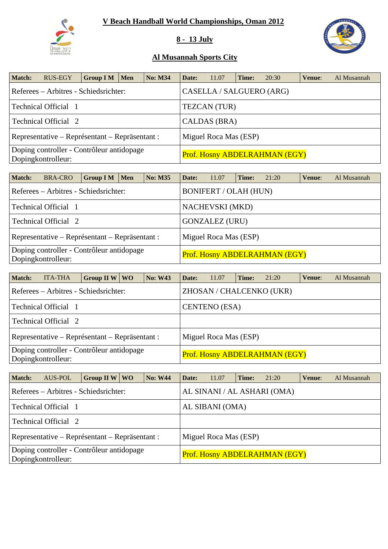

### **8 - 13 July**



| Match: | <b>RUS-EGY</b>                                                  | <b>Group I M</b> | <b>Men</b> | <b>No: M34</b> | Date:                                | 11.07                    | Time: | 20:30 | Venue: | Al Musannah |  |  |
|--------|-----------------------------------------------------------------|------------------|------------|----------------|--------------------------------------|--------------------------|-------|-------|--------|-------------|--|--|
|        | Referees – Arbitres - Schiedsrichter:                           |                  |            |                |                                      | CASELLA / SALGUERO (ARG) |       |       |        |             |  |  |
|        | Technical Official 1                                            |                  |            |                | <b>TEZCAN</b> (TUR)                  |                          |       |       |        |             |  |  |
|        | Technical Official 2                                            |                  |            |                | CALDAS (BRA)                         |                          |       |       |        |             |  |  |
|        | Representative – Représentant – Repräsentant :                  |                  |            |                | Miguel Roca Mas (ESP)                |                          |       |       |        |             |  |  |
|        | Doping controller - Contrôleur antidopage<br>Dopingkontrolleur: |                  |            |                | <b>Prof. Hosny ABDELRAHMAN (EGY)</b> |                          |       |       |        |             |  |  |

| <b>Match:</b> | <b>BRA-CRO</b>                                                  | GroupIM | <b>Men</b> | <b>No: M35</b> | Date:                         | 11.07                        | Time: | 21:20 | Venue: | Al Musannah |  |  |  |
|---------------|-----------------------------------------------------------------|---------|------------|----------------|-------------------------------|------------------------------|-------|-------|--------|-------------|--|--|--|
|               | Referees – Arbitres - Schiedsrichter:                           |         |            |                |                               | <b>BONIFERT / OLAH (HUN)</b> |       |       |        |             |  |  |  |
|               | Technical Official 1                                            |         |            |                | <b>NACHEVSKI</b> (MKD)        |                              |       |       |        |             |  |  |  |
|               | Technical Official 2                                            |         |            |                | <b>GONZALEZ (URU)</b>         |                              |       |       |        |             |  |  |  |
|               | Representative – Représentant – Repräsentant :                  |         |            |                | Miguel Roca Mas (ESP)         |                              |       |       |        |             |  |  |  |
|               | Doping controller - Contrôleur antidopage<br>Dopingkontrolleur: |         |            |                | Prof. Hosny ABDELRAHMAN (EGY) |                              |       |       |        |             |  |  |  |

| <b>Match:</b> | <b>ITA-THA</b>                                                  | Group II W $\vert$ WO | <b>No: W43</b> | Date:                         | 11.07 | Time: | 21:20 | Venue: | Al Musannah |  |  |
|---------------|-----------------------------------------------------------------|-----------------------|----------------|-------------------------------|-------|-------|-------|--------|-------------|--|--|
|               | Referees – Arbitres - Schiedsrichter:                           |                       |                | ZHOSAN / CHALCENKO (UKR)      |       |       |       |        |             |  |  |
|               | Technical Official 1                                            |                       |                | <b>CENTENO</b> (ESA)          |       |       |       |        |             |  |  |
|               | <b>Technical Official 2</b>                                     |                       |                |                               |       |       |       |        |             |  |  |
|               | Representative – Représentant – Repräsentant :                  |                       |                | Miguel Roca Mas (ESP)         |       |       |       |        |             |  |  |
|               | Doping controller - Contrôleur antidopage<br>Dopingkontrolleur: |                       |                | Prof. Hosny ABDELRAHMAN (EGY) |       |       |       |        |             |  |  |

| <b>Match:</b> | AUS-POL                                                         | Group II W $\vert$ WO | <b>No: W44</b> | Date:                       | 11.07                 | Time: | 21:20                         | Venue: | Al Musannah |  |  |
|---------------|-----------------------------------------------------------------|-----------------------|----------------|-----------------------------|-----------------------|-------|-------------------------------|--------|-------------|--|--|
|               | Referees – Arbitres - Schiedsrichter:                           |                       |                | AL SINANI / AL ASHARI (OMA) |                       |       |                               |        |             |  |  |
|               | Technical Official 1                                            |                       |                | AL SIBANI (OMA)             |                       |       |                               |        |             |  |  |
|               | Technical Official 2                                            |                       |                |                             |                       |       |                               |        |             |  |  |
|               | Representative – Représentant – Repräsentant :                  |                       |                |                             | Miguel Roca Mas (ESP) |       |                               |        |             |  |  |
|               | Doping controller - Contrôleur antidopage<br>Dopingkontrolleur: |                       |                |                             |                       |       | Prof. Hosny ABDELRAHMAN (EGY) |        |             |  |  |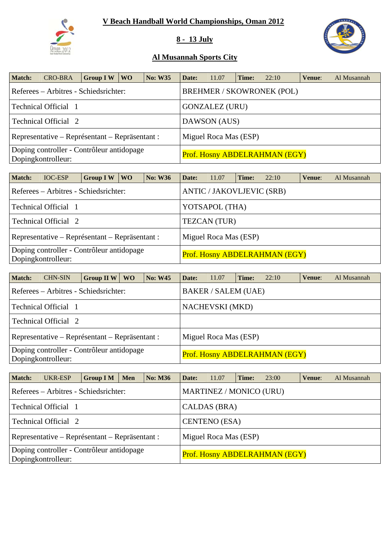

### **8 - 13 July**



| <b>Match:</b> | <b>CRO-BRA</b>                                                  | <b>Group IW</b> | WO <sub>1</sub> | <b>No: W35</b> | Date:                                | 11.07 | Time: | 22:10                            | Venue: | Al Musannah |  |  |
|---------------|-----------------------------------------------------------------|-----------------|-----------------|----------------|--------------------------------------|-------|-------|----------------------------------|--------|-------------|--|--|
|               | Referees – Arbitres - Schiedsrichter:                           |                 |                 |                |                                      |       |       | <b>BREHMER / SKOWRONEK (POL)</b> |        |             |  |  |
|               | Technical Official 1                                            |                 |                 |                | <b>GONZALEZ (URU)</b>                |       |       |                                  |        |             |  |  |
|               | Technical Official 2                                            |                 |                 |                | DAWSON (AUS)                         |       |       |                                  |        |             |  |  |
|               | Representative – Représentant – Repräsentant :                  |                 |                 |                | Miguel Roca Mas (ESP)                |       |       |                                  |        |             |  |  |
|               | Doping controller - Contrôleur antidopage<br>Dopingkontrolleur: |                 |                 |                | <b>Prof. Hosny ABDELRAHMAN (EGY)</b> |       |       |                                  |        |             |  |  |

| <b>Match:</b> | <b>IOC-ESP</b>                                                  | <b>Group IW</b> | WO. | <b>No: W36</b> | Date:                                | 11.07                            | Time: | 22:10 | Venue: | Al Musannah |  |  |
|---------------|-----------------------------------------------------------------|-----------------|-----|----------------|--------------------------------------|----------------------------------|-------|-------|--------|-------------|--|--|
|               | Referees – Arbitres - Schiedsrichter:                           |                 |     |                |                                      | <b>ANTIC / JAKOVLJEVIC (SRB)</b> |       |       |        |             |  |  |
|               | Technical Official 1                                            |                 |     |                | YOTSAPOL (THA)                       |                                  |       |       |        |             |  |  |
|               | Technical Official 2                                            |                 |     |                | <b>TEZCAN</b> (TUR)                  |                                  |       |       |        |             |  |  |
|               | Representative – Représentant – Repräsentant :                  |                 |     |                | Miguel Roca Mas (ESP)                |                                  |       |       |        |             |  |  |
|               | Doping controller - Contrôleur antidopage<br>Dopingkontrolleur: |                 |     |                | <b>Prof. Hosny ABDELRAHMAN (EGY)</b> |                                  |       |       |        |             |  |  |

| <b>Match:</b> | <b>CHN-SIN</b>                                                  | <b>Group II W</b> | <b>WO</b> | <b>No: W45</b> | Date:                         | 11.07 | Time: | 22:10 | Venue: | Al Musannah |  |  |
|---------------|-----------------------------------------------------------------|-------------------|-----------|----------------|-------------------------------|-------|-------|-------|--------|-------------|--|--|
|               | Referees – Arbitres - Schiedsrichter:                           |                   |           |                | <b>BAKER / SALEM (UAE)</b>    |       |       |       |        |             |  |  |
|               | Technical Official 1                                            |                   |           |                | <b>NACHEVSKI</b> (MKD)        |       |       |       |        |             |  |  |
|               | <b>Technical Official 2</b>                                     |                   |           |                |                               |       |       |       |        |             |  |  |
|               | Representative – Représentant – Repräsentant :                  |                   |           |                | Miguel Roca Mas (ESP)         |       |       |       |        |             |  |  |
|               | Doping controller - Contrôleur antidopage<br>Dopingkontrolleur: |                   |           |                | Prof. Hosny ABDELRAHMAN (EGY) |       |       |       |        |             |  |  |

| <b>Match:</b> | UKR-ESP                                                         | <b>Group I M</b> | <b>Men</b> | <b>No: M36</b> | Date:                          | 11.07 | Time: | 23:00 | Venue: | Al Musannah |  |  |
|---------------|-----------------------------------------------------------------|------------------|------------|----------------|--------------------------------|-------|-------|-------|--------|-------------|--|--|
|               | Referees – Arbitres - Schiedsrichter:                           |                  |            |                | <b>MARTINEZ / MONICO (URU)</b> |       |       |       |        |             |  |  |
|               | Technical Official 1                                            |                  |            |                | CALDAS (BRA)                   |       |       |       |        |             |  |  |
|               | Technical Official 2                                            |                  |            |                | <b>CENTENO</b> (ESA)           |       |       |       |        |             |  |  |
|               | Representative – Représentant – Repräsentant :                  |                  |            |                | Miguel Roca Mas (ESP)          |       |       |       |        |             |  |  |
|               | Doping controller - Contrôleur antidopage<br>Dopingkontrolleur: |                  |            |                | Prof. Hosny ABDELRAHMAN (EGY)  |       |       |       |        |             |  |  |